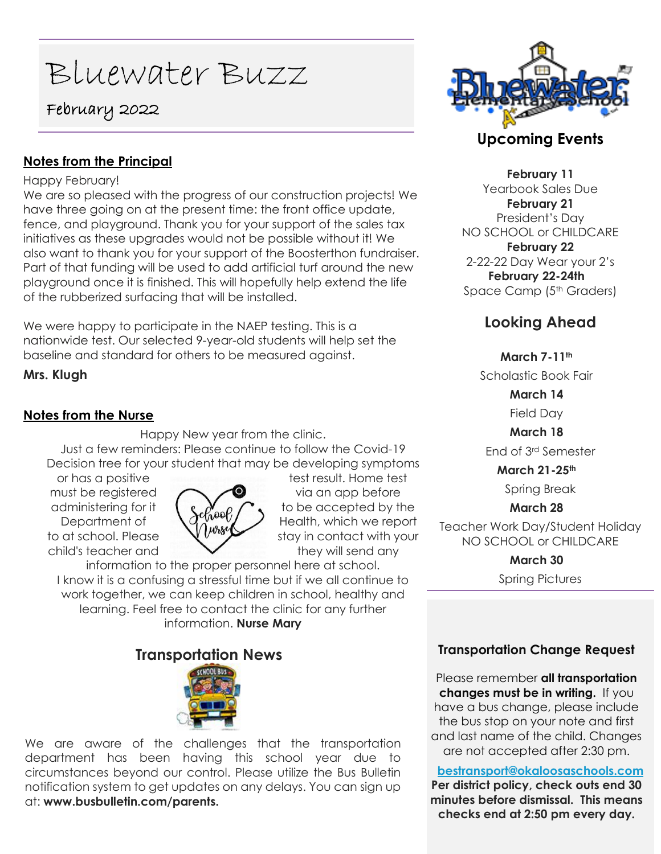# Bluewater Buzz

# February 2022

## **Notes from the Principal**

### Happy February!

We are so pleased with the progress of our construction projects! We have three going on at the present time: the front office update, fence, and playground. Thank you for your support of the sales tax initiatives as these upgrades would not be possible without it! We also want to thank you for your support of the Boosterthon fundraiser. Part of that funding will be used to add artificial turf around the new playground once it is finished. This will hopefully help extend the life of the rubberized surfacing that will be installed.

We were happy to participate in the NAEP testing. This is a nationwide test. Our selected 9-year-old students will help set the baseline and standard for others to be measured against.

**Mrs. Klugh**

## **Notes from the Nurse**

Happy New year from the clinic. Just a few reminders: Please continue to follow the Covid-19 Decision tree for your student that may be developing symptoms



or has a positive the state of the test result. Home test must be registered  $\bigcap$   $\bigcirc$  via an app before administering for it  $\left\{ \int_{\Omega} e \right\}$  to be accepted by the Department of  $\bigcap_{\text{Wank}}$  Health, which we report to at school. Please  $\mathcal{N}$   $\mathcal{W}$   $\mathcal{W}$  stay in contact with your  $\mathsf{child}\mathsf{'}s$  teacher and they will send any

information to the proper personnel here at school. I know it is a confusing a stressful time but if we all continue to work together, we can keep children in school, healthy and learning. Feel free to contact the clinic for any further information. **Nurse Mary**

## **Transportation News**



We are aware of the challenges that the transportation department has been having this school year due to circumstances beyond our control. Please utilize the Bus Bulletin notification system to get updates on any delays. You can sign up at: **www.busbulletin.com/parents.**



## **Upcoming Events**

**February 11** Yearbook Sales Due **February 21** President's Day NO SCHOOL or CHILDCARE **February 22** 2-22-22 Day Wear your 2's **February 22-24th** Space Camp (5<sup>th</sup> Graders)

## **Looking Ahead**

**March 7-11th**

Scholastic Book Fair

**March 14**

Field Day

**March 18**

End of 3rd Semester

**March 21-25th**

Spring Break

## **March 28**

Teacher Work Day/Student Holiday NO SCHOOL or CHILDCARE

> **March 30** Spring Pictures

## **Transportation Change Request**

Please remember **all transportation changes must be in writing.** If you have a bus change, please include the bus stop on your note and first and last name of the child. Changes are not accepted after 2:30 pm.

**[bestransport@okaloosaschools.com](mailto:bestransport@okaloosaschools.com) Per district policy, check outs end 30 minutes before dismissal. This means checks end at 2:50 pm every day.**